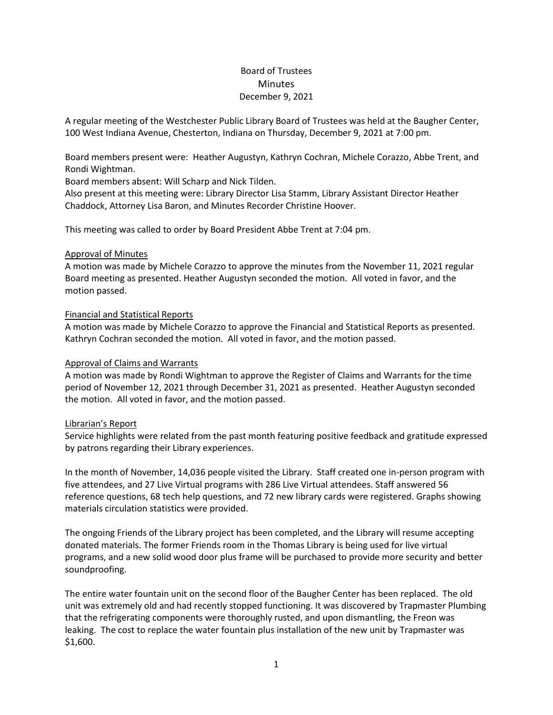# Board of Trustees **Minutes** December 9, 2021

A regular meeting of the Westchester Public Library Board of Trustees was held at the Baugher Center, 100 West Indiana Avenue, Chesterton, Indiana on Thursday, December 9, 2021 at 7:00 pm.

Board members present were: Heather Augustyn, Kathryn Cochran, Michele Corazzo, Abbe Trent, and Rondi Wightman.

Board members absent: Will Scharp and Nick Tilden.

Also present at this meeting were: Library Director Lisa Stamm, Library Assistant Director Heather Chaddock, Attorney Lisa Baron, and Minutes Recorder Christine Hoover.

This meeting was called to order by Board President Abbe Trent at 7:04 pm.

### Approval of Minutes

A motion was made by Michele Corazzo to approve the minutes from the November 11, 2021 regular Board meeting as presented. Heather Augustyn seconded the motion. All voted in favor, and the motion passed.

### Financial and Statistical Reports

A motion was made by Michele Corazzo to approve the Financial and Statistical Reports as presented. Kathryn Cochran seconded the motion. All voted in favor, and the motion passed.

#### Approval of Claims and Warrants

A motion was made by Rondi Wightman to approve the Register of Claims and Warrants for the time period of November 12, 2021 through December 31, 2021 as presented. Heather Augustyn seconded the motion. All voted in favor, and the motion passed.

## Librarian's Report

Service highlights were related from the past month featuring positive feedback and gratitude expressed by patrons regarding their Library experiences.

In the month of November, 14,036 people visited the Library. Staff created one in-person program with five attendees, and 27 Live Virtual programs with 286 Live Virtual attendees. Staff answered 56 reference questions, 68 tech help questions, and 72 new library cards were registered. Graphs showing materials circulation statistics were provided.

The ongoing Friends of the Library project has been completed, and the Library will resume accepting donated materials. The former Friends room in the Thomas Library is being used for live virtual programs, and a new solid wood door plus frame will be purchased to provide more security and better soundproofing.

The entire water fountain unit on the second floor of the Baugher Center has been replaced. The old unit was extremely old and had recently stopped functioning. It was discovered by Trapmaster Plumbing that the refrigerating components were thoroughly rusted, and upon dismantling, the Freon was leaking. The cost to replace the water fountain plus installation of the new unit by Trapmaster was \$1,600.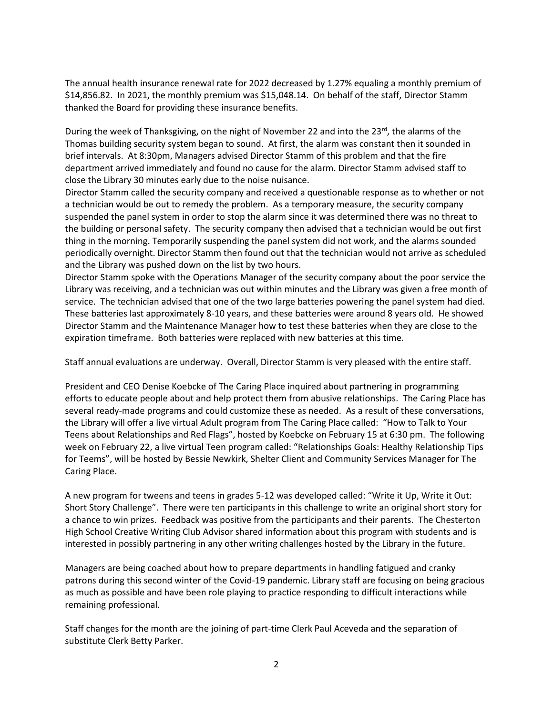The annual health insurance renewal rate for 2022 decreased by 1.27% equaling a monthly premium of \$14,856.82. In 2021, the monthly premium was \$15,048.14. On behalf of the staff, Director Stamm thanked the Board for providing these insurance benefits.

During the week of Thanksgiving, on the night of November 22 and into the 23<sup>rd</sup>, the alarms of the Thomas building security system began to sound. At first, the alarm was constant then it sounded in brief intervals. At 8:30pm, Managers advised Director Stamm of this problem and that the fire department arrived immediately and found no cause for the alarm. Director Stamm advised staff to close the Library 30 minutes early due to the noise nuisance.

Director Stamm called the security company and received a questionable response as to whether or not a technician would be out to remedy the problem. As a temporary measure, the security company suspended the panel system in order to stop the alarm since it was determined there was no threat to the building or personal safety. The security company then advised that a technician would be out first thing in the morning. Temporarily suspending the panel system did not work, and the alarms sounded periodically overnight. Director Stamm then found out that the technician would not arrive as scheduled and the Library was pushed down on the list by two hours.

Director Stamm spoke with the Operations Manager of the security company about the poor service the Library was receiving, and a technician was out within minutes and the Library was given a free month of service. The technician advised that one of the two large batteries powering the panel system had died. These batteries last approximately 8-10 years, and these batteries were around 8 years old. He showed Director Stamm and the Maintenance Manager how to test these batteries when they are close to the expiration timeframe. Both batteries were replaced with new batteries at this time.

Staff annual evaluations are underway. Overall, Director Stamm is very pleased with the entire staff.

President and CEO Denise Koebcke of The Caring Place inquired about partnering in programming efforts to educate people about and help protect them from abusive relationships. The Caring Place has several ready-made programs and could customize these as needed. As a result of these conversations, the Library will offer a live virtual Adult program from The Caring Place called: "How to Talk to Your Teens about Relationships and Red Flags", hosted by Koebcke on February 15 at 6:30 pm. The following week on February 22, a live virtual Teen program called: "Relationships Goals: Healthy Relationship Tips for Teems", will be hosted by Bessie Newkirk, Shelter Client and Community Services Manager for The Caring Place.

A new program for tweens and teens in grades 5-12 was developed called: "Write it Up, Write it Out: Short Story Challenge". There were ten participants in this challenge to write an original short story for a chance to win prizes. Feedback was positive from the participants and their parents. The Chesterton High School Creative Writing Club Advisor shared information about this program with students and is interested in possibly partnering in any other writing challenges hosted by the Library in the future.

Managers are being coached about how to prepare departments in handling fatigued and cranky patrons during this second winter of the Covid-19 pandemic. Library staff are focusing on being gracious as much as possible and have been role playing to practice responding to difficult interactions while remaining professional.

Staff changes for the month are the joining of part-time Clerk Paul Aceveda and the separation of substitute Clerk Betty Parker.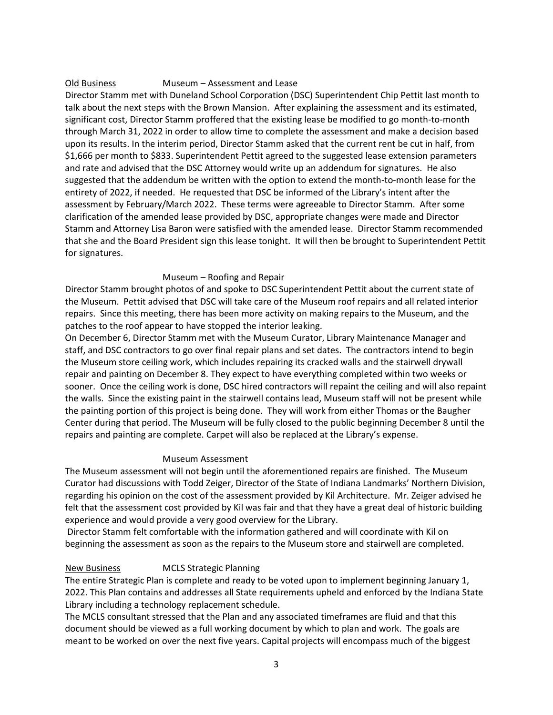### Old Business Museum – Assessment and Lease

Director Stamm met with Duneland School Corporation (DSC) Superintendent Chip Pettit last month to talk about the next steps with the Brown Mansion. After explaining the assessment and its estimated, significant cost, Director Stamm proffered that the existing lease be modified to go month-to-month through March 31, 2022 in order to allow time to complete the assessment and make a decision based upon its results. In the interim period, Director Stamm asked that the current rent be cut in half, from \$1,666 per month to \$833. Superintendent Pettit agreed to the suggested lease extension parameters and rate and advised that the DSC Attorney would write up an addendum for signatures. He also suggested that the addendum be written with the option to extend the month-to-month lease for the entirety of 2022, if needed. He requested that DSC be informed of the Library's intent after the assessment by February/March 2022. These terms were agreeable to Director Stamm. After some clarification of the amended lease provided by DSC, appropriate changes were made and Director Stamm and Attorney Lisa Baron were satisfied with the amended lease. Director Stamm recommended that she and the Board President sign this lease tonight. It will then be brought to Superintendent Pettit for signatures.

## Museum – Roofing and Repair

Director Stamm brought photos of and spoke to DSC Superintendent Pettit about the current state of the Museum. Pettit advised that DSC will take care of the Museum roof repairs and all related interior repairs. Since this meeting, there has been more activity on making repairs to the Museum, and the patches to the roof appear to have stopped the interior leaking.

On December 6, Director Stamm met with the Museum Curator, Library Maintenance Manager and staff, and DSC contractors to go over final repair plans and set dates. The contractors intend to begin the Museum store ceiling work, which includes repairing its cracked walls and the stairwell drywall repair and painting on December 8. They expect to have everything completed within two weeks or sooner. Once the ceiling work is done, DSC hired contractors will repaint the ceiling and will also repaint the walls. Since the existing paint in the stairwell contains lead, Museum staff will not be present while the painting portion of this project is being done. They will work from either Thomas or the Baugher Center during that period. The Museum will be fully closed to the public beginning December 8 until the repairs and painting are complete. Carpet will also be replaced at the Library's expense.

## Museum Assessment

The Museum assessment will not begin until the aforementioned repairs are finished. The Museum Curator had discussions with Todd Zeiger, Director of the State of Indiana Landmarks' Northern Division, regarding his opinion on the cost of the assessment provided by Kil Architecture. Mr. Zeiger advised he felt that the assessment cost provided by Kil was fair and that they have a great deal of historic building experience and would provide a very good overview for the Library.

Director Stamm felt comfortable with the information gathered and will coordinate with Kil on beginning the assessment as soon as the repairs to the Museum store and stairwell are completed.

## New Business MCLS Strategic Planning

The entire Strategic Plan is complete and ready to be voted upon to implement beginning January 1, 2022. This Plan contains and addresses all State requirements upheld and enforced by the Indiana State Library including a technology replacement schedule.

The MCLS consultant stressed that the Plan and any associated timeframes are fluid and that this document should be viewed as a full working document by which to plan and work. The goals are meant to be worked on over the next five years. Capital projects will encompass much of the biggest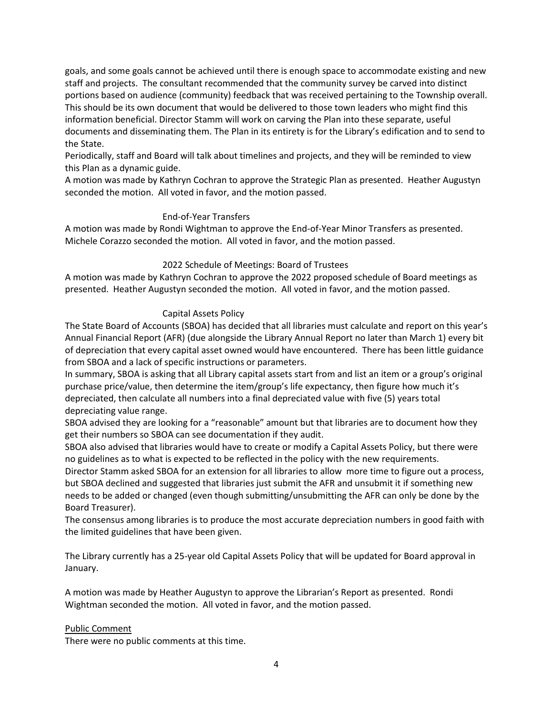goals, and some goals cannot be achieved until there is enough space to accommodate existing and new staff and projects. The consultant recommended that the community survey be carved into distinct portions based on audience (community) feedback that was received pertaining to the Township overall. This should be its own document that would be delivered to those town leaders who might find this information beneficial. Director Stamm will work on carving the Plan into these separate, useful documents and disseminating them. The Plan in its entirety is for the Library's edification and to send to the State.

Periodically, staff and Board will talk about timelines and projects, and they will be reminded to view this Plan as a dynamic guide.

A motion was made by Kathryn Cochran to approve the Strategic Plan as presented. Heather Augustyn seconded the motion. All voted in favor, and the motion passed.

### End-of-Year Transfers

A motion was made by Rondi Wightman to approve the End-of-Year Minor Transfers as presented. Michele Corazzo seconded the motion. All voted in favor, and the motion passed.

### 2022 Schedule of Meetings: Board of Trustees

A motion was made by Kathryn Cochran to approve the 2022 proposed schedule of Board meetings as presented. Heather Augustyn seconded the motion. All voted in favor, and the motion passed.

### Capital Assets Policy

The State Board of Accounts (SBOA) has decided that all libraries must calculate and report on this year's Annual Financial Report (AFR) (due alongside the Library Annual Report no later than March 1) every bit of depreciation that every capital asset owned would have encountered. There has been little guidance from SBOA and a lack of specific instructions or parameters.

In summary, SBOA is asking that all Library capital assets start from and list an item or a group's original purchase price/value, then determine the item/group's life expectancy, then figure how much it's depreciated, then calculate all numbers into a final depreciated value with five (5) years total depreciating value range.

SBOA advised they are looking for a "reasonable" amount but that libraries are to document how they get their numbers so SBOA can see documentation if they audit.

SBOA also advised that libraries would have to create or modify a Capital Assets Policy, but there were no guidelines as to what is expected to be reflected in the policy with the new requirements.

Director Stamm asked SBOA for an extension for all libraries to allow more time to figure out a process, but SBOA declined and suggested that libraries just submit the AFR and unsubmit it if something new needs to be added or changed (even though submitting/unsubmitting the AFR can only be done by the Board Treasurer).

The consensus among libraries is to produce the most accurate depreciation numbers in good faith with the limited guidelines that have been given.

The Library currently has a 25-year old Capital Assets Policy that will be updated for Board approval in January.

A motion was made by Heather Augustyn to approve the Librarian's Report as presented. Rondi Wightman seconded the motion. All voted in favor, and the motion passed.

#### Public Comment

There were no public comments at this time.